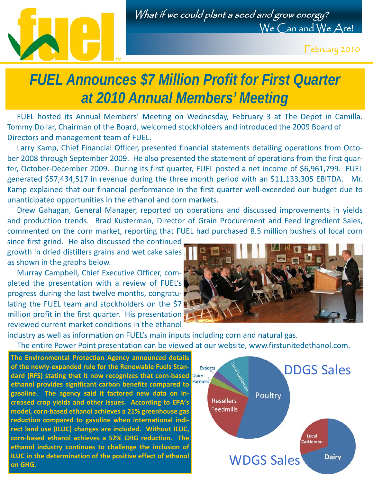

February 2010

## *FUEL Announces \$7 Million Profit for First Quarter at 2010 Annual Members' Meeting*

 FUEL hosted its Annual Members' Meeting on Wednesday, February 3 at The Depot in Camilla. Tommy Dollar, Chairman of the Board, welcomed stockholders and introduced the 2009 Board of Directors and management team of FUEL.

Larry Kamp, Chief Financial Officer, presented financial statements detailing operations from October 2008 through September 2009. He also presented the statement of operations from the first quarter, October-December 2009. During its first quarter, FUEL posted a net income of \$6,961,799. FUEL generated \$57,434,517 in revenue during the three month period with an \$11,133,305 EBITDA. Mr. Kamp explained that our financial performance in the first quarter well‐exceeded our budget due to unanticipated opportunities in the ethanol and corn markets.

 Drew Gahagan, General Manager, reported on operations and discussed improvements in yields and production trends. Brad Kusterman, Director of Grain Procurement and Feed Ingredient Sales, commented on the corn market, reporting that FUEL had purchased 8.5 million bushels of local corn

since first grind. He also discussed the continued growth in dried distillers grains and wet cake sales as shown in the graphs below.

 Murray Campbell, Chief Executive Officer, com‐ pleted the presentation with a review of FUEL's progress during the last twelve months, congratu‐ lating the FUEL team and stockholders on the \$7 million profit in the first quarter. His presentation reviewed current market conditions in the ethanol



industry as well as information on FUEL's main inputs including corn and natural gas.

The entire Power Point presentation can be viewed at our website, www.firstunitedethanol.com.

**The Environmental Protection Agency announced details of the newly‐expanded rule for the Renewable Fuels Stan‐ dard (RFS) stating that it now recognizes that corn‐based ethanol provides significant carbon benefits compared to gasoline. The agency said it factored new data on in‐ creased crop yields and other issues. According to EPA's model, corn‐based ethanol achieves a 21% greenhouse gas reduction compared to gasoline when international indi‐ rect land use (ILUC) changes are included. Without ILUC, corn‐based ethanol achieves a 52% GHG reduction. The ethanol industry continues to challenge the inclusion of ILUC in the determination of the positive effect of ethanol on GHG.**